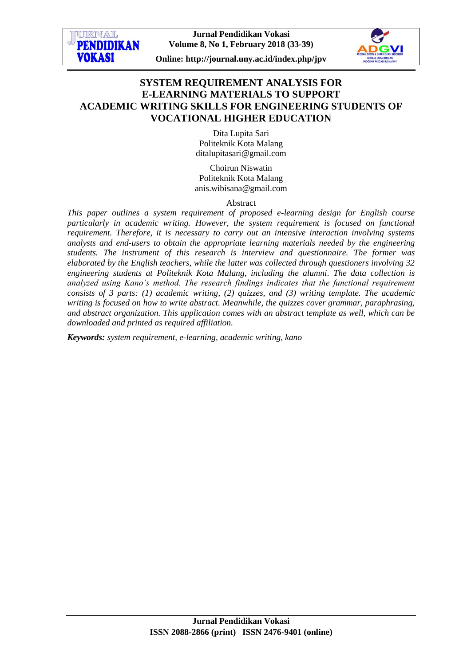

# **SYSTEM REQUIREMENT ANALYSIS FOR E-LEARNING MATERIALS TO SUPPORT ACADEMIC WRITING SKILLS FOR ENGINEERING STUDENTS OF VOCATIONAL HIGHER EDUCATION**

Dita Lupita Sari Politeknik Kota Malang [ditalupitasari@gmail.com](mailto:ditalupitasari@gmail.com)

Choirun Niswatin Politeknik Kota Malang [anis.wibisana@gmail.com](mailto:anis.wibisana@gmail.com)

Abstract

*This paper outlines a system requirement of proposed e-learning design for English course particularly in academic writing. However, the system requirement is focused on functional requirement. Therefore, it is necessary to carry out an intensive interaction involving systems analysts and end-users to obtain the appropriate learning materials needed by the engineering students. The instrument of this research is interview and questionnaire. The former was elaborated by the English teachers, while the latter was collected through questioners involving 32 engineering students at Politeknik Kota Malang, including the alumni. The data collection is analyzed using Kano's method. The research findings indicates that the functional requirement consists of 3 parts: (1) academic writing, (2) quizzes, and (3) writing template. The academic writing is focused on how to write abstract. Meanwhile, the quizzes cover grammar, paraphrasing, and abstract organization. This application comes with an abstract template as well, which can be downloaded and printed as required affiliation.*

*Keywords: system requirement, e-learning, academic writing, kano*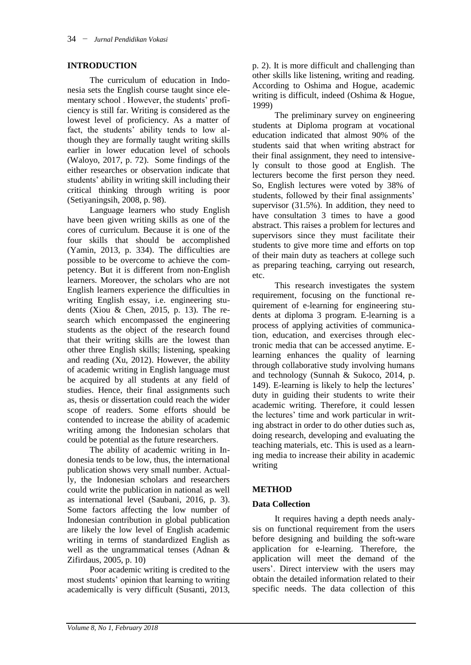### **INTRODUCTION**

The curriculum of education in Indonesia sets the English course taught since elementary school . However, the students' proficiency is still far. Writing is considered as the lowest level of proficiency. As a matter of fact, the students' ability tends to low although they are formally taught writing skills earlier in lower education level of schools (Waloyo, 2017, p. 72). Some findings of the either researches or observation indicate that students' ability in writing skill including their critical thinking through writing is poor (Setiyaningsih, 2008, p. 98).

Language learners who study English have been given writing skills as one of the cores of curriculum. Because it is one of the four skills that should be accomplished (Yamin, 2013, p. 334). The difficulties are possible to be overcome to achieve the competency. But it is different from non-English learners. Moreover, the scholars who are not English learners experience the difficulties in writing English essay, i.e. engineering students (Xiou & Chen, 2015, p. 13). The research which encompassed the engineering students as the object of the research found that their writing skills are the lowest than other three English skills; listening, speaking and reading (Xu, 2012). However, the ability of academic writing in English language must be acquired by all students at any field of studies. Hence, their final assignments such as, thesis or dissertation could reach the wider scope of readers. Some efforts should be contended to increase the ability of academic writing among the Indonesian scholars that could be potential as the future researchers.

The ability of academic writing in Indonesia tends to be low, thus, the international publication shows very small number. Actually, the Indonesian scholars and researchers could write the publication in national as well as international level (Saubani, 2016, p. 3). Some factors affecting the low number of Indonesian contribution in global publication are likely the low level of English academic writing in terms of standardized English as well as the ungrammatical tenses (Adnan & Zifirdaus, 2005, p. 10)

Poor academic writing is credited to the most students' opinion that learning to writing academically is very difficult (Susanti, 2013,

p. 2). It is more difficult and challenging than other skills like listening, writing and reading. According to Oshima and Hogue, academic writing is difficult, indeed (Oshima & Hogue, 1999)

The preliminary survey on engineering students at Diploma program at vocational education indicated that almost 90% of the students said that when writing abstract for their final assignment, they need to intensively consult to those good at English. The lecturers become the first person they need. So, English lectures were voted by 38% of students, followed by their final assignments' supervisor (31.5%). In addition, they need to have consultation 3 times to have a good abstract. This raises a problem for lectures and supervisors since they must facilitate their students to give more time and efforts on top of their main duty as teachers at college such as preparing teaching, carrying out research, etc.

This research investigates the system requirement, focusing on the functional requirement of e-learning for engineering students at diploma 3 program. E-learning is a process of applying activities of communication, education, and exercises through electronic media that can be accessed anytime. Elearning enhances the quality of learning through collaborative study involving humans and technology (Sunnah & Sukoco, 2014, p. 149). E-learning is likely to help the lectures' duty in guiding their students to write their academic writing. Therefore, it could lessen the lectures' time and work particular in writing abstract in order to do other duties such as, doing research, developing and evaluating the teaching materials, etc. This is used as a learning media to increase their ability in academic writing

# **METHOD**

# **Data Collection**

It requires having a depth needs analysis on functional requirement from the users before designing and building the soft-ware application for e-learning. Therefore, the application will meet the demand of the users'. Direct interview with the users may obtain the detailed information related to their specific needs. The data collection of this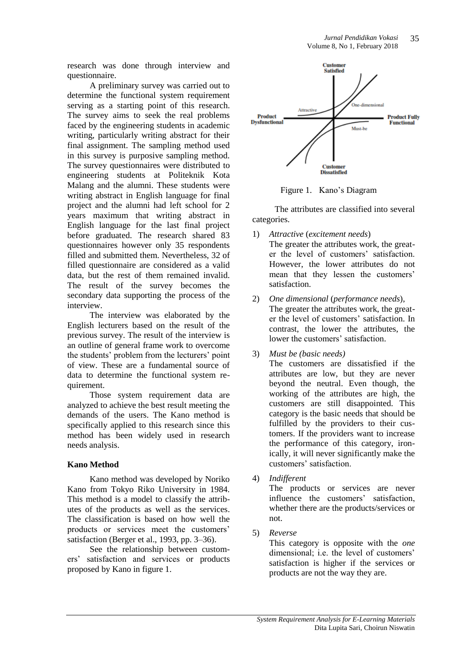research was done through interview and questionnaire.

A preliminary survey was carried out to determine the functional system requirement serving as a starting point of this research. The survey aims to seek the real problems faced by the engineering students in academic writing, particularly writing abstract for their final assignment. The sampling method used in this survey is purposive sampling method. The survey questionnaires were distributed to engineering students at Politeknik Kota Malang and the alumni. These students were writing abstract in English language for final project and the alumni had left school for 2 years maximum that writing abstract in English language for the last final project before graduated. The research shared 83 questionnaires however only 35 respondents filled and submitted them. Nevertheless, 32 of filled questionnaire are considered as a valid data, but the rest of them remained invalid. The result of the survey becomes the secondary data supporting the process of the interview.

The interview was elaborated by the English lecturers based on the result of the previous survey. The result of the interview is an outline of general frame work to overcome the students' problem from the lecturers' point of view. These are a fundamental source of data to determine the functional system requirement.

Those system requirement data are analyzed to achieve the best result meeting the demands of the users. The Kano method is specifically applied to this research since this method has been widely used in research needs analysis.

# **Kano Method**

Kano method was developed by Noriko Kano from Tokyo Riko University in 1984. This method is a model to classify the attributes of the products as well as the services. The classification is based on how well the products or services meet the customers' satisfaction (Berger et al., 1993, pp. 3–36).

See the relationship between customers' satisfaction and services or products proposed by Kano in figure 1.



Figure 1. Kano's Diagram

The attributes are classified into several categories.

- 1) *Attractive* (*excitement needs*) The greater the attributes work, the greater the level of customers' satisfaction. However, the lower attributes do not mean that they lessen the customers' satisfaction.
- 2) *One dimensional* (*performance needs*), The greater the attributes work, the greater the level of customers' satisfaction. In contrast, the lower the attributes, the lower the customers' satisfaction.
- 3) *Must be (basic needs)*

The customers are dissatisfied if the attributes are low, but they are never beyond the neutral. Even though, the working of the attributes are high, the customers are still disappointed. This category is the basic needs that should be fulfilled by the providers to their customers. If the providers want to increase the performance of this category, ironically, it will never significantly make the customers' satisfaction.

4) *Indifferent*

The products or services are never influence the customers' satisfaction, whether there are the products/services or not.

5) *Reverse*

This category is opposite with the *one*  dimensional; i.e. the level of customers' satisfaction is higher if the services or products are not the way they are.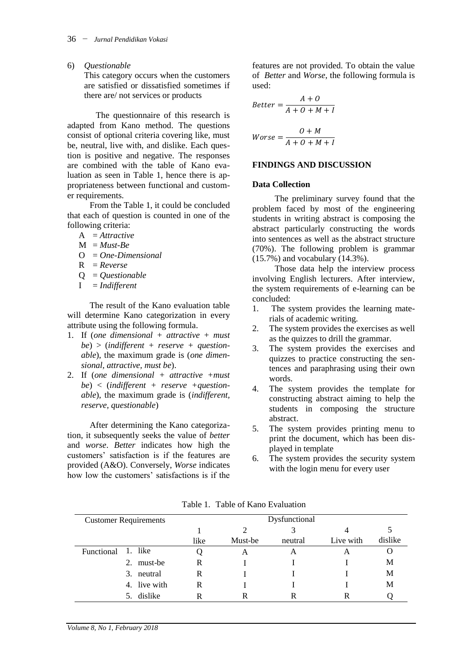6) *Questionable*

This category occurs when the customers are satisfied or dissatisfied sometimes if there are/ not services or products

The questionnaire of this research is adapted from Kano method. The questions consist of optional criteria covering like, must be, neutral, live with, and dislike. Each question is positive and negative. The responses are combined with the table of Kano evaluation as seen in Table 1, hence there is appropriateness between functional and customer requirements.

From the Table 1, it could be concluded that each of question is counted in one of the following criteria:

- A = *Attractive*
- $M = Must-Be$
- O = *One-Dimensional*
- R = *Reverse*
- Q = *Questionable*
- I = *Indifferent*

The result of the Kano evaluation table will determine Kano categorization in every attribute using the following formula.

- 1. If (*one dimensional + attractive + must be*) > (*indifferent + reserve + questionable*), the maximum grade is (*one dimensional, attractive, must be*).
- 2. If (*one dimensional + attractive +must be*) < (*indifferent + reserve +questionable*), the maximum grade is (*indifferent, reserve, questionable*)

After determining the Kano categorization, it subsequently seeks the value of *better* and *worse*. *Better* indicates how high the customers' satisfaction is if the features are provided (A&O). Conversely, *Worse* indicates how low the customers' satisfactions is if the features are not provided. To obtain the value of *Better* and *Worse*, the following formula is used:

$$
Better = \frac{A + O}{A + O + M + I}
$$

$$
Worse = \frac{O + M}{A + O + M + I}
$$

 $\overline{A}$ 

#### **FINDINGS AND DISCUSSION**

#### **Data Collection**

The preliminary survey found that the problem faced by most of the engineering students in writing abstract is composing the abstract particularly constructing the words into sentences as well as the abstract structure (70%). The following problem is grammar (15.7%) and vocabulary (14.3%).

Those data help the interview process involving English lecturers. After interview, the system requirements of e-learning can be concluded:

- 1. The system provides the learning materials of academic writing.
- 2. The system provides the exercises as well as the quizzes to drill the grammar.
- 3. The system provides the exercises and quizzes to practice constructing the sentences and paraphrasing using their own words.
- 4. The system provides the template for constructing abstract aiming to help the students in composing the structure abstract.
- 5. The system provides printing menu to print the document, which has been displayed in template
- 6. The system provides the security system with the login menu for every user

| <b>Customer Requirements</b> |              | Dysfunctional |         |         |           |         |  |  |
|------------------------------|--------------|---------------|---------|---------|-----------|---------|--|--|
|                              |              |               |         |         | 4         |         |  |  |
|                              |              | like          | Must-be | neutral | Live with | dislike |  |  |
| Functional                   | 1. like      |               | A       | A       | A         |         |  |  |
|                              | 2. must-be   | R             |         |         |           | М       |  |  |
|                              | 3. neutral   | R             |         |         |           | М       |  |  |
|                              | 4. live with | R             |         |         |           | М       |  |  |
|                              | 5. dislike   |               | R       |         |           |         |  |  |

Table 1. Table of Kano Evaluation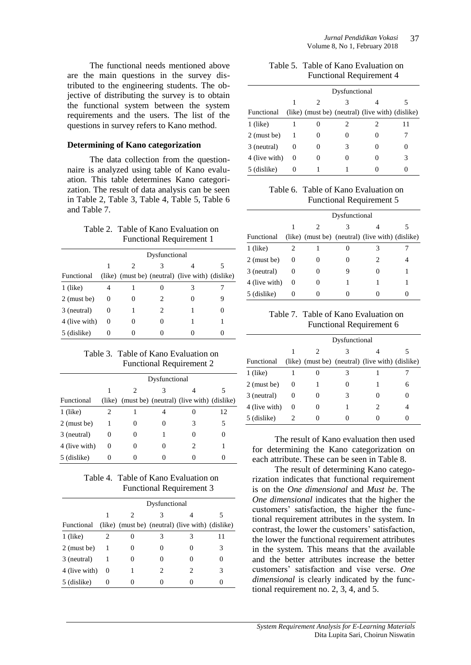The functional needs mentioned above are the main questions in the survey distributed to the engineering students. The objective of distributing the survey is to obtain the functional system between the system requirements and the users. The list of the questions in survey refers to Kano method.

#### **Determining of Kano categorization**

The data collection from the questionnaire is analyzed using table of Kano evaluation. This table determines Kano categorization. The result of data analysis can be seen in Table 2, Table 3, Table 4, Table 5, Table 6 and Table 7.

### Table 2. Table of Kano Evaluation on Functional Requirement 1

|               |          | Dysfunctional |   |                                                  |  |  |  |  |  |  |  |
|---------------|----------|---------------|---|--------------------------------------------------|--|--|--|--|--|--|--|
|               |          | 2             |   |                                                  |  |  |  |  |  |  |  |
| Functional    |          |               |   | (like) (must be) (neutral) (live with) (dislike) |  |  |  |  |  |  |  |
| $1$ (like)    | 4        |               |   |                                                  |  |  |  |  |  |  |  |
| $2$ (must be) | $\theta$ |               |   | 0                                                |  |  |  |  |  |  |  |
| 3 (neutral)   | $\theta$ |               | 2 |                                                  |  |  |  |  |  |  |  |
| 4 (live with) | $\theta$ |               |   |                                                  |  |  |  |  |  |  |  |
| 5 (dislike)   | 0        |               |   |                                                  |  |  |  |  |  |  |  |

# Table 3. Table of Kano Evaluation on Functional Requirement 2

|               |   | Dysfunctional |   |                                                  |    |  |  |  |  |  |  |
|---------------|---|---------------|---|--------------------------------------------------|----|--|--|--|--|--|--|
|               |   |               |   |                                                  |    |  |  |  |  |  |  |
| Functional    |   |               |   | (like) (must be) (neutral) (live with) (dislike) |    |  |  |  |  |  |  |
| $1$ (like)    |   |               |   |                                                  | 12 |  |  |  |  |  |  |
| $2$ (must be) |   | 0             | 0 | 3                                                | 5  |  |  |  |  |  |  |
| 3 (neutral)   |   | 0             |   |                                                  |    |  |  |  |  |  |  |
| 4 (live with) | 0 | 0             |   |                                                  |    |  |  |  |  |  |  |
| 5 (dislike)   |   |               |   |                                                  |    |  |  |  |  |  |  |

# Table 4. Table of Kano Evaluation on Functional Requirement 3

|               | Dysfunctional |   |  |                                                  |    |  |  |  |  |  |
|---------------|---------------|---|--|--------------------------------------------------|----|--|--|--|--|--|
|               |               | 2 |  |                                                  |    |  |  |  |  |  |
| Functional    |               |   |  | (like) (must be) (neutral) (live with) (dislike) |    |  |  |  |  |  |
| $1$ (like)    |               |   |  | 3                                                | 11 |  |  |  |  |  |
| $2$ (must be) |               |   |  |                                                  | 3  |  |  |  |  |  |
| 3 (neutral)   |               |   |  |                                                  |    |  |  |  |  |  |
| 4 (live with) | $\theta$      |   |  | 2                                                |    |  |  |  |  |  |
| 5 (dislike)   |               |   |  |                                                  |    |  |  |  |  |  |

#### Table 5. Table of Kano Evaluation on Functional Requirement 4

|               |          | Dysfunctional |   |                                                  |   |  |  |  |  |  |  |
|---------------|----------|---------------|---|--------------------------------------------------|---|--|--|--|--|--|--|
|               | 1        |               |   |                                                  |   |  |  |  |  |  |  |
| Functional    |          |               |   | (like) (must be) (neutral) (live with) (dislike) |   |  |  |  |  |  |  |
| $1$ (like)    | 1        |               |   |                                                  |   |  |  |  |  |  |  |
| $2$ (must be) | -1       | $\theta$      |   | 0                                                |   |  |  |  |  |  |  |
| 3 (neutral)   | $\theta$ |               | 3 |                                                  |   |  |  |  |  |  |  |
| 4 (live with) | $\theta$ |               |   |                                                  | 3 |  |  |  |  |  |  |
| 5 (dislike)   |          |               |   |                                                  |   |  |  |  |  |  |  |

Table 6. Table of Kano Evaluation on Functional Requirement 5

|               |          | Dysfunctional     |  |                                                  |  |  |  |  |  |  |  |
|---------------|----------|-------------------|--|--------------------------------------------------|--|--|--|--|--|--|--|
|               |          | 2                 |  |                                                  |  |  |  |  |  |  |  |
| Functional    |          |                   |  | (like) (must be) (neutral) (live with) (dislike) |  |  |  |  |  |  |  |
| $1$ (like)    | 2        |                   |  |                                                  |  |  |  |  |  |  |  |
| $2$ (must be) | $\theta$ | $\mathbf{\Omega}$ |  | 2                                                |  |  |  |  |  |  |  |
| 3 (neutral)   | $\theta$ | 0                 |  | $\theta$                                         |  |  |  |  |  |  |  |
| 4 (live with) | $\theta$ |                   |  |                                                  |  |  |  |  |  |  |  |
| 5 (dislike)   |          |                   |  |                                                  |  |  |  |  |  |  |  |

Table 7. Table of Kano Evaluation on Functional Requirement 6

|               | Dysfunctional |          |   |                                                  |   |  |  |  |  |  |  |  |
|---------------|---------------|----------|---|--------------------------------------------------|---|--|--|--|--|--|--|--|
|               |               |          |   |                                                  |   |  |  |  |  |  |  |  |
| Functional    |               |          |   | (like) (must be) (neutral) (live with) (dislike) |   |  |  |  |  |  |  |  |
| $1$ (like)    |               |          |   |                                                  |   |  |  |  |  |  |  |  |
| $2$ (must be) | $\theta$      |          |   |                                                  | 6 |  |  |  |  |  |  |  |
| 3 (neutral)   | 0             | $\theta$ | 3 | $\mathbf{\Omega}$                                |   |  |  |  |  |  |  |  |
| 4 (live with) | $\theta$      |          |   | 2                                                |   |  |  |  |  |  |  |  |
| 5 (dislike)   |               |          |   |                                                  |   |  |  |  |  |  |  |  |

The result of Kano evaluation then used for determining the Kano categorization on each attribute. These can be seen in Table 8.

The result of determining Kano categorization indicates that functional requirement is on the *One dimensional* and *Must be*. The *One dimensional* indicates that the higher the customers' satisfaction, the higher the functional requirement attributes in the system. In contrast, the lower the customers' satisfaction, the lower the functional requirement attributes in the system. This means that the available and the better attributes increase the better customers' satisfaction and vise verse. *One dimensional* is clearly indicated by the functional requirement no. 2, 3, 4, and 5.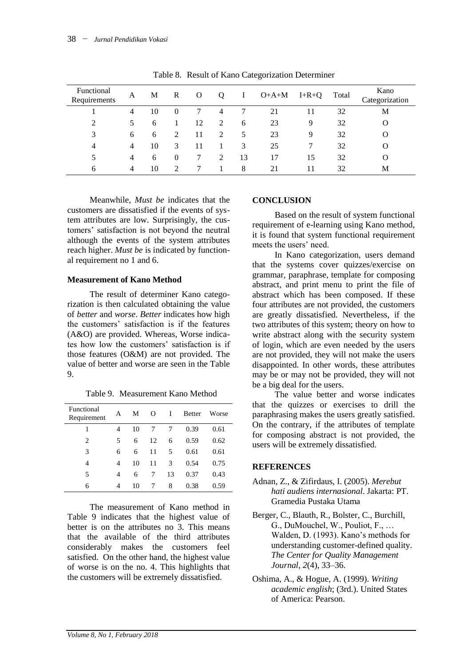|                            |                |    |   |    |   |    | ÷       |         |       |                        |
|----------------------------|----------------|----|---|----|---|----|---------|---------|-------|------------------------|
| Functional<br>Requirements | A              | M  | R | Ő  | Ő |    | $O+A+M$ | $I+R+Q$ | Total | Kano<br>Categorization |
|                            | 4              | 10 | 0 |    | 4 |    | 21      | 11      | 32    | M                      |
|                            | 5              | 6  |   | 12 | 2 | 6  | 23      | 9       | 32    | О                      |
| 3                          | 6              | 6  | 2 | 11 | 2 | 5  | 23      | 9       | 32    | O                      |
| 4                          | 4              | 10 | 3 | 11 |   | 3  | 25      |         | 32    | O                      |
| 5                          | $\overline{4}$ | 6  | 0 |    | 2 | 13 | 17      | 15      | 32    | O                      |
| 6                          | 4              | 10 | C | 7  |   | 8  | 21      | 11      | 32    | M                      |

Table 8. Result of Kano Categorization Determiner

Meanwhile*, Must be* indicates that the customers are dissatisfied if the events of system attributes are low. Surprisingly, the customers' satisfaction is not beyond the neutral although the events of the system attributes reach higher. *Must be* is indicated by functional requirement no 1 and 6.

### **Measurement of Kano Method**

The result of determiner Kano categorization is then calculated obtaining the value of *better* and *worse*. *Better* indicates how high the customers' satisfaction is if the features (A&O) are provided. Whereas, Worse indicates how low the customers' satisfaction is if those features (O&M) are not provided. The value of better and worse are seen in the Table 9.

Table 9. Measurement Kano Method

| Functional<br>Requirement | А | М  | $\Omega$ | I  | <b>Better</b> | Worse |
|---------------------------|---|----|----------|----|---------------|-------|
| 1                         | 4 | 10 | 7        | 7  | 0.39          | 0.61  |
| 2                         | 5 | 6  | 12       | 6  | 0.59          | 0.62  |
| 3                         | 6 | 6  | 11       | 5  | 0.61          | 0.61  |
| 4                         | 4 | 10 | 11       | 3  | 0.54          | 0.75  |
| 5                         | 4 | 6  | 7        | 13 | 0.37          | 0.43  |
| 6                         | 4 | 10 |          | 8  | 0.38          | 0.59  |

The measurement of Kano method in Table 9 indicates that the highest value of better is on the attributes no 3. This means that the available of the third attributes considerably makes the customers feel satisfied. On the other hand, the highest value of worse is on the no. 4. This highlights that the customers will be extremely dissatisfied.

# **CONCLUSION**

Based on the result of system functional requirement of e-learning using Kano method, it is found that system functional requirement meets the users' need.

In Kano categorization, users demand that the systems cover quizzes/exercise on grammar, paraphrase, template for composing abstract, and print menu to print the file of abstract which has been composed. If these four attributes are not provided, the customers are greatly dissatisfied. Nevertheless, if the two attributes of this system; theory on how to write abstract along with the security system of login, which are even needed by the users are not provided, they will not make the users disappointed. In other words, these attributes may be or may not be provided, they will not be a big deal for the users.

The value better and worse indicates that the quizzes or exercises to drill the paraphrasing makes the users greatly satisfied. On the contrary, if the attributes of template for composing abstract is not provided, the users will be extremely dissatisfied.

# **REFERENCES**

- Adnan, Z., & Zifirdaus, I. (2005). *Merebut hati audiens internasional*. Jakarta: PT. Gramedia Pustaka Utama
- Berger, C., Blauth, R., Bolster, C., Burchill, G., DuMouchel, W., Pouliot, F., … Walden, D. (1993). Kano's methods for understanding customer-defined quality. *The Center for Quality Management Journal*, *2*(4), 33–36.
- Oshima, A., & Hogue, A. (1999). *Writing academic english*; (3rd.). United States of America: Pearson.